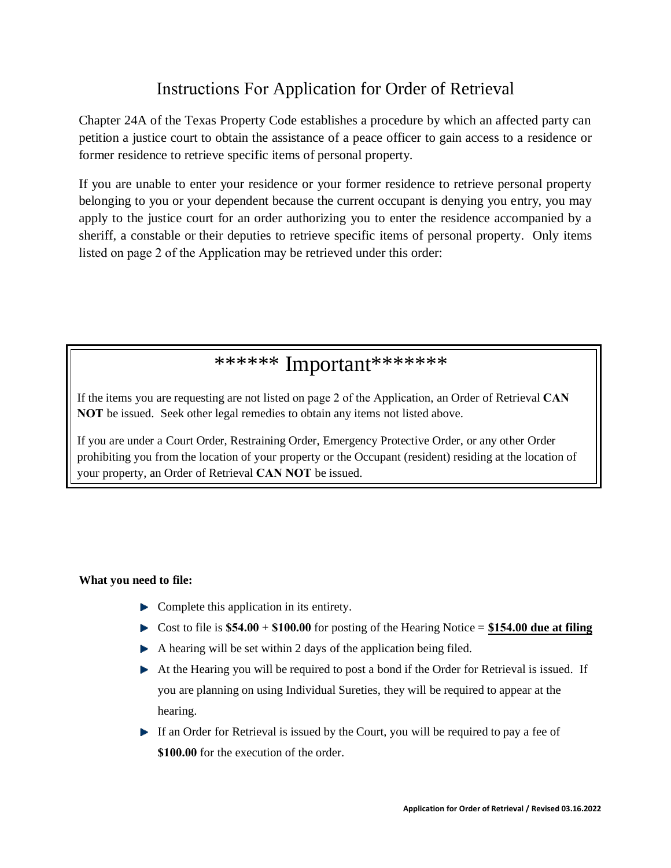## Instructions For Application for Order of Retrieval

Chapter 24A of the Texas Property Code establishes a procedure by which an affected party can petition a justice court to obtain the assistance of a peace officer to gain access to a residence or former residence to retrieve specific items of personal property.

If you are unable to enter your residence or your former residence to retrieve personal property belonging to you or your dependent because the current occupant is denying you entry, you may apply to the justice court for an order authorizing you to enter the residence accompanied by a sheriff, a constable or their deputies to retrieve specific items of personal property. Only items listed on page 2 of the Application may be retrieved under this order:

## \*\*\*\*\*\* Important\*\*\*\*\*\*\*

If the items you are requesting are not listed on page 2 of the Application, an Order of Retrieval **CAN NOT** be issued. Seek other legal remedies to obtain any items not listed above.

If you are under a Court Order, Restraining Order, Emergency Protective Order, or any other Order prohibiting you from the location of your property or the Occupant (resident) residing at the location of your property, an Order of Retrieval **CAN NOT** be issued.

## **What you need to file:**

- Complete this application in its entirety.
- $\triangleright$  Cost to file is \$54.00 + \$100.00 for posting of the Hearing Notice = \$154.00 due at filing
- $\blacktriangleright$  A hearing will be set within 2 days of the application being filed.
- At the Hearing you will be required to post a bond if the Order for Retrieval is issued. If you are planning on using Individual Sureties, they will be required to appear at the hearing.
- $\blacktriangleright$  If an Order for Retrieval is issued by the Court, you will be required to pay a fee of **\$100.00** for the execution of the order.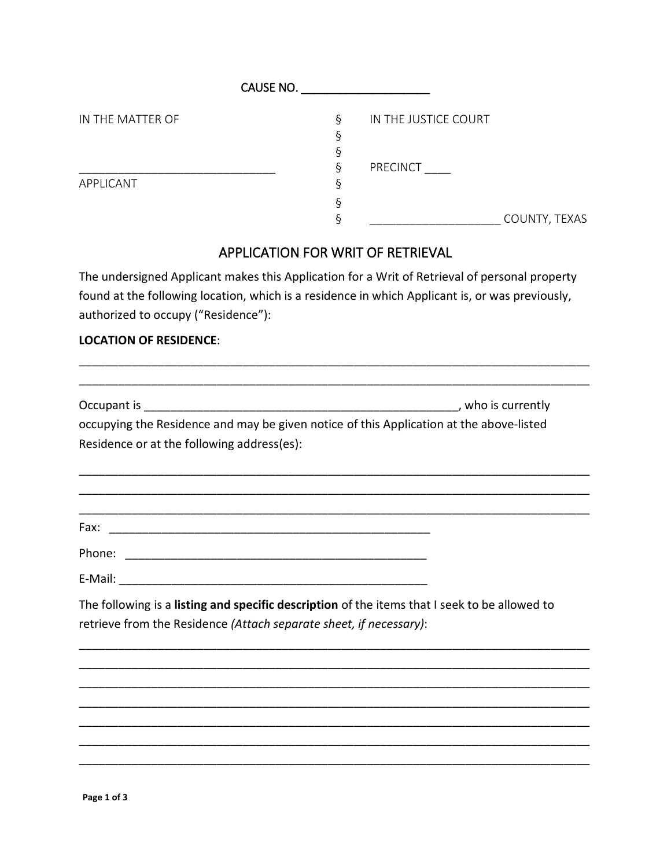|                                                                                                                                                                                                                                         |             | CAUSE NO.                         |
|-----------------------------------------------------------------------------------------------------------------------------------------------------------------------------------------------------------------------------------------|-------------|-----------------------------------|
| IN THE MATTER OF                                                                                                                                                                                                                        | ş<br>ş<br>ş | IN THE JUSTICE COURT              |
|                                                                                                                                                                                                                                         | ş           | PRECINCT                          |
| APPLICANT                                                                                                                                                                                                                               | Š<br>ş      |                                   |
|                                                                                                                                                                                                                                         | ş           |                                   |
|                                                                                                                                                                                                                                         |             | APPLICATION FOR WRIT OF RETRIEVAL |
| The undersigned Applicant makes this Application for a Writ of Retrieval of personal property<br>found at the following location, which is a residence in which Applicant is, or was previously,<br>authorized to occupy ("Residence"): |             |                                   |
| <b>LOCATION OF RESIDENCE:</b>                                                                                                                                                                                                           |             |                                   |
| occupying the Residence and may be given notice of this Application at the above-listed<br>Residence or at the following address(es):                                                                                                   |             |                                   |
| Fax:                                                                                                                                                                                                                                    |             |                                   |
| Phone:                                                                                                                                                                                                                                  |             |                                   |
| E-Mail: E-Mail: E-Mail: E-Mail: E-Mail: E-Mail: E-Mail: E-Mail: E-Mail: E-Mail: E-Mail: E-Mail: E-Mail: E-Mail: E-Mail: E-Mail: E-Mail: E-Mail: E-Mail: E-Mail: E-Mail: E-Mail: E-Mail: E-Mail: E-Mail: E-Mail: E-Mail: E-Mail          |             |                                   |
| The following is a listing and specific description of the items that I seek to be allowed to<br>retrieve from the Residence (Attach separate sheet, if necessary):                                                                     |             |                                   |
|                                                                                                                                                                                                                                         |             |                                   |
|                                                                                                                                                                                                                                         |             |                                   |
|                                                                                                                                                                                                                                         |             |                                   |
|                                                                                                                                                                                                                                         |             |                                   |
|                                                                                                                                                                                                                                         |             |                                   |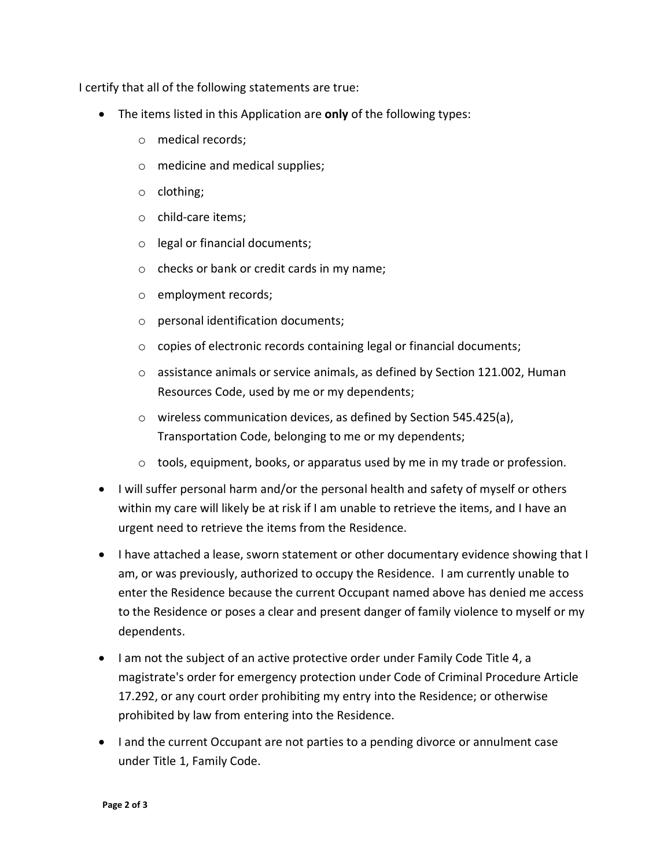I certify that all of the following statements are true:

- The items listed in this Application are **only** of the following types:
	- o medical records;
	- o medicine and medical supplies;
	- o clothing;
	- o child-care items;
	- o legal or financial documents;
	- o checks or bank or credit cards in my name;
	- o employment records;
	- o personal identification documents;
	- $\circ$  copies of electronic records containing legal or financial documents;
	- $\circ$  assistance animals or service animals, as defined by Section 121.002, Human Resources Code, used by me or my dependents;
	- o wireless communication devices, as defined by Section 545.425(a), Transportation Code, belonging to me or my dependents;
	- $\circ$  tools, equipment, books, or apparatus used by me in my trade or profession.
- I will suffer personal harm and/or the personal health and safety of myself or others within my care will likely be at risk if I am unable to retrieve the items, and I have an urgent need to retrieve the items from the Residence.
- I have attached a lease, sworn statement or other documentary evidence showing that I am, or was previously, authorized to occupy the Residence. I am currently unable to enter the Residence because the current Occupant named above has denied me access to the Residence or poses a clear and present danger of family violence to myself or my dependents.
- I am not the subject of an active protective order under Family Code Title 4, a magistrate's order for emergency protection under Code of Criminal Procedure Article 17.292, or any court order prohibiting my entry into the Residence; or otherwise prohibited by law from entering into the Residence.
- I and the current Occupant are not parties to a pending divorce or annulment case under Title 1, Family Code.